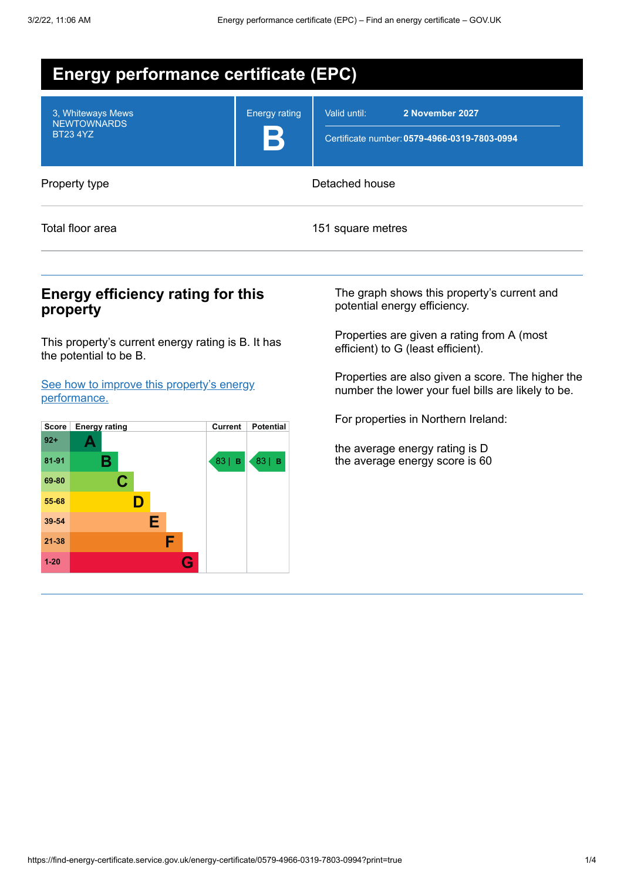| <b>Energy performance certificate (EPC)</b>                |                           |                                                                                 |  |  |  |
|------------------------------------------------------------|---------------------------|---------------------------------------------------------------------------------|--|--|--|
| 3, Whiteways Mews<br><b>NEWTOWNARDS</b><br><b>BT23 4YZ</b> | <b>Energy rating</b><br>B | 2 November 2027<br>Valid until:<br>Certificate number: 0579-4966-0319-7803-0994 |  |  |  |
| Property type                                              |                           | Detached house                                                                  |  |  |  |
| Total floor area                                           |                           | 151 square metres                                                               |  |  |  |

## **Energy efficiency rating for this property**

This property's current energy rating is B. It has the potential to be B.

See how to improve this property's energy [performance.](#page-2-0)



The graph shows this property's current and potential energy efficiency.

Properties are given a rating from A (most efficient) to G (least efficient).

Properties are also given a score. The higher the number the lower your fuel bills are likely to be.

For properties in Northern Ireland:

the average energy rating is D the average energy score is 60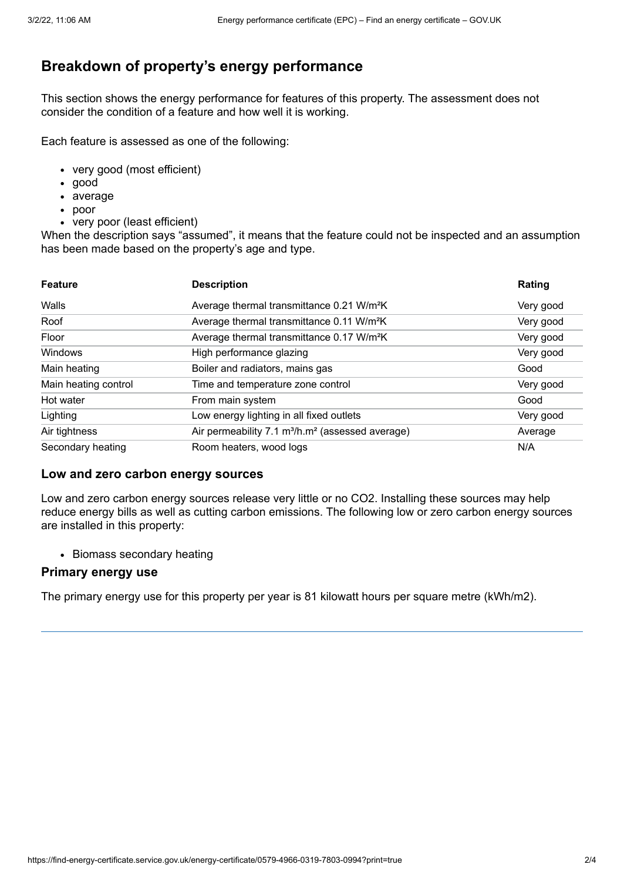# **Breakdown of property's energy performance**

This section shows the energy performance for features of this property. The assessment does not consider the condition of a feature and how well it is working.

Each feature is assessed as one of the following:

- very good (most efficient)
- good
- average
- poor
- very poor (least efficient)

When the description says "assumed", it means that the feature could not be inspected and an assumption has been made based on the property's age and type.

| <b>Feature</b>       | <b>Description</b>                                                       | Rating    |
|----------------------|--------------------------------------------------------------------------|-----------|
| Walls                | Average thermal transmittance 0.21 W/m <sup>2</sup> K                    | Very good |
| Roof                 | Average thermal transmittance 0.11 W/m <sup>2</sup> K                    | Very good |
| Floor                | Average thermal transmittance 0.17 W/m <sup>2</sup> K                    | Very good |
| Windows              | High performance glazing                                                 | Very good |
| Main heating         | Boiler and radiators, mains gas                                          | Good      |
| Main heating control | Time and temperature zone control                                        | Very good |
| Hot water            | From main system                                                         | Good      |
| Lighting             | Low energy lighting in all fixed outlets                                 | Very good |
| Air tightness        | Air permeability 7.1 m <sup>3</sup> /h.m <sup>2</sup> (assessed average) | Average   |
| Secondary heating    | Room heaters, wood logs                                                  | N/A       |

#### **Low and zero carbon energy sources**

Low and zero carbon energy sources release very little or no CO2. Installing these sources may help reduce energy bills as well as cutting carbon emissions. The following low or zero carbon energy sources are installed in this property:

• Biomass secondary heating

#### **Primary energy use**

The primary energy use for this property per year is 81 kilowatt hours per square metre (kWh/m2).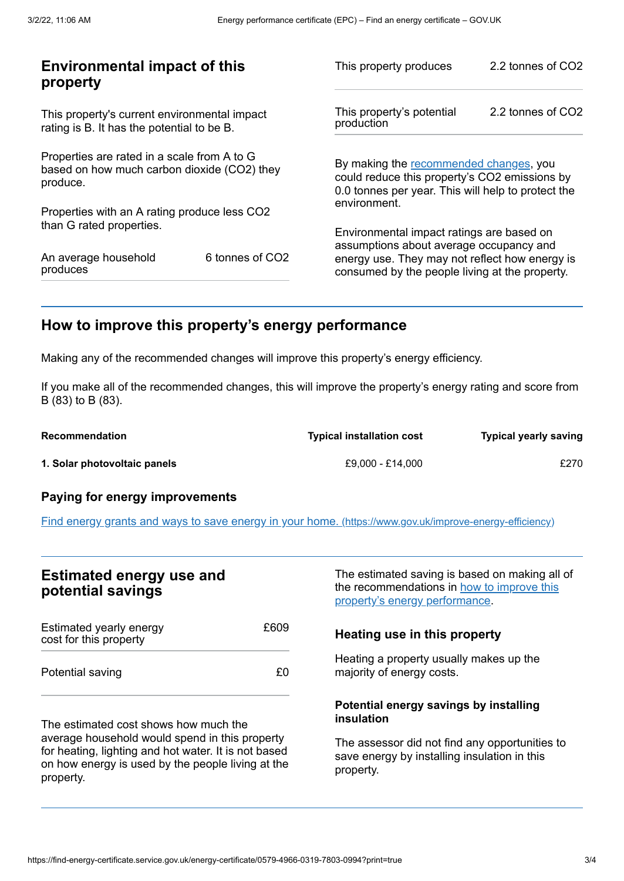| <b>Environmental impact of this</b><br>property                                                        |                 | This property produces                                                                                                                        | 2.2 tonnes of CO2 |
|--------------------------------------------------------------------------------------------------------|-----------------|-----------------------------------------------------------------------------------------------------------------------------------------------|-------------------|
| This property's current environmental impact<br>rating is B. It has the potential to be B.             |                 | This property's potential<br>production                                                                                                       | 2.2 tonnes of CO2 |
| Properties are rated in a scale from A to G<br>based on how much carbon dioxide (CO2) they<br>produce. |                 | By making the recommended changes, you<br>could reduce this property's CO2 emissions by<br>0.0 tonnes per year. This will help to protect the |                   |
| Properties with an A rating produce less CO2                                                           |                 | environment.                                                                                                                                  |                   |
| than G rated properties.                                                                               |                 | Environmental impact ratings are based on<br>assumptions about average occupancy and                                                          |                   |
| An average household<br>produces                                                                       | 6 tonnes of CO2 | energy use. They may not reflect how energy is<br>consumed by the people living at the property.                                              |                   |
|                                                                                                        |                 |                                                                                                                                               |                   |

# <span id="page-2-0"></span>**How to improve this property's energy performance**

Making any of the recommended changes will improve this property's energy efficiency.

If you make all of the recommended changes, this will improve the property's energy rating and score from B (83) to B (83).

| Recommendation               | <b>Typical installation cost</b> | <b>Typical yearly saving</b> |
|------------------------------|----------------------------------|------------------------------|
| 1. Solar photovoltaic panels | £9.000 - £14.000                 | £270                         |

### **Paying for energy improvements**

Find energy grants and ways to save energy in your home. [\(https://www.gov.uk/improve-energy-efficiency\)](https://www.gov.uk/improve-energy-efficiency)

## **Estimated energy use and potential savings**

| Estimated yearly energy<br>cost for this property | £609 |
|---------------------------------------------------|------|
| Potential saving                                  | £0.  |

The estimated cost shows how much the average household would spend in this property for heating, lighting and hot water. It is not based on how energy is used by the people living at the property.

The estimated saving is based on making all of the [recommendations](#page-2-0) in how to improve this property's energy performance.

#### **Heating use in this property**

Heating a property usually makes up the majority of energy costs.

#### **Potential energy savings by installing insulation**

The assessor did not find any opportunities to save energy by installing insulation in this property.